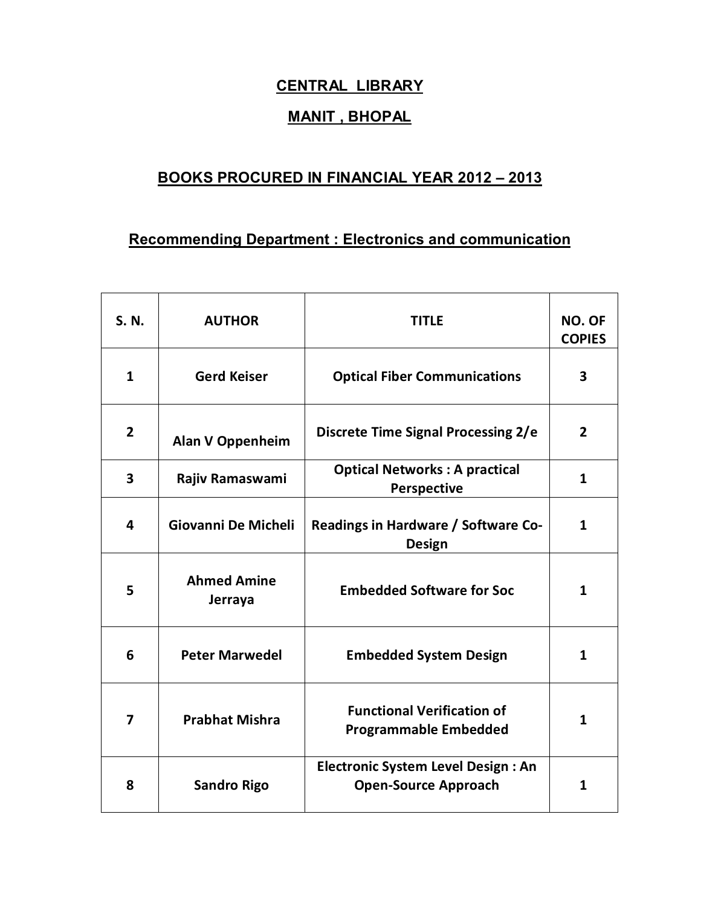## **CENTRAL LIBRARY**

## **MANIT , BHOPAL**

## **BOOKS PROCURED IN FINANCIAL YEAR 2012 – 2013**

## **Recommending Department : Electronics and communication**

| S. N.        | <b>AUTHOR</b>                 | <b>TITLE</b>                                                             | <b>NO. OF</b><br><b>COPIES</b> |
|--------------|-------------------------------|--------------------------------------------------------------------------|--------------------------------|
| $\mathbf{1}$ | <b>Gerd Keiser</b>            | <b>Optical Fiber Communications</b>                                      | 3                              |
| $\mathbf{2}$ | <b>Alan V Oppenheim</b>       | Discrete Time Signal Processing 2/e                                      | $\overline{2}$                 |
| 3            | Rajiv Ramaswami               | <b>Optical Networks: A practical</b><br>Perspective                      | $\mathbf{1}$                   |
| 4            | Giovanni De Micheli           | Readings in Hardware / Software Co-<br><b>Design</b>                     | $\mathbf{1}$                   |
| 5            | <b>Ahmed Amine</b><br>Jerraya | <b>Embedded Software for Soc</b>                                         | 1                              |
| 6            | <b>Peter Marwedel</b>         | <b>Embedded System Design</b>                                            | $\mathbf{1}$                   |
| 7            | <b>Prabhat Mishra</b>         | <b>Functional Verification of</b><br><b>Programmable Embedded</b>        | 1                              |
| 8            | <b>Sandro Rigo</b>            | <b>Electronic System Level Design: An</b><br><b>Open-Source Approach</b> | 1                              |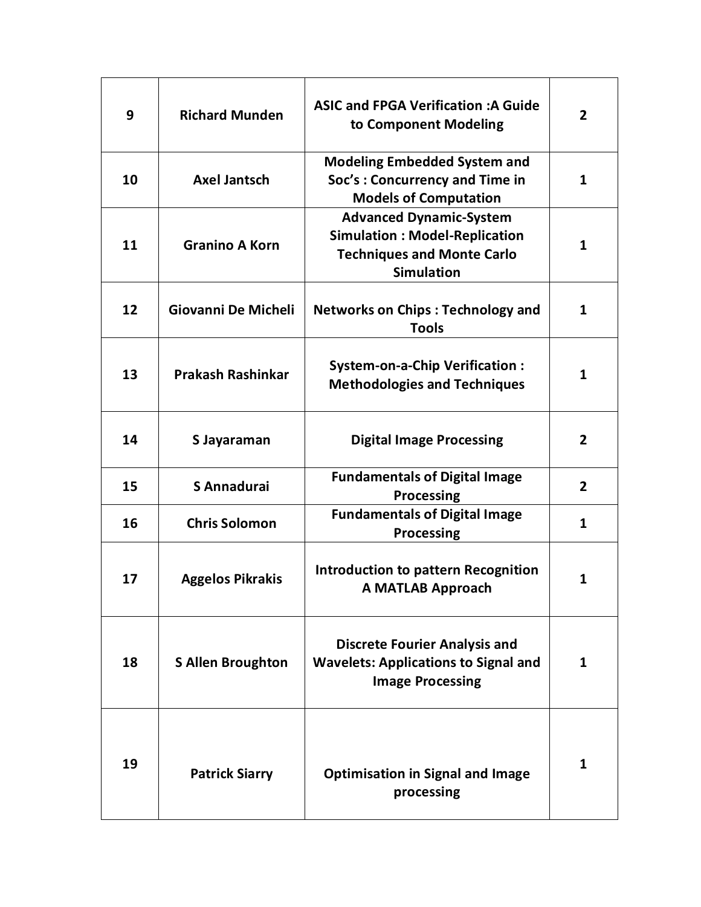| 9  | <b>Richard Munden</b>    | <b>ASIC and FPGA Verification: A Guide</b><br>to Component Modeling                                                              | $\overline{2}$ |
|----|--------------------------|----------------------------------------------------------------------------------------------------------------------------------|----------------|
| 10 | <b>Axel Jantsch</b>      | <b>Modeling Embedded System and</b><br>Soc's: Concurrency and Time in<br><b>Models of Computation</b>                            | 1              |
| 11 | <b>Granino A Korn</b>    | <b>Advanced Dynamic-System</b><br><b>Simulation: Model-Replication</b><br><b>Techniques and Monte Carlo</b><br><b>Simulation</b> | $\mathbf{1}$   |
| 12 | Giovanni De Micheli      | <b>Networks on Chips: Technology and</b><br><b>Tools</b>                                                                         | 1              |
| 13 | <b>Prakash Rashinkar</b> | <b>System-on-a-Chip Verification:</b><br><b>Methodologies and Techniques</b>                                                     | 1              |
| 14 | S Jayaraman              | <b>Digital Image Processing</b>                                                                                                  | 2              |
| 15 | S Annadurai              | <b>Fundamentals of Digital Image</b><br><b>Processing</b>                                                                        | 2              |
| 16 | <b>Chris Solomon</b>     | <b>Fundamentals of Digital Image</b><br><b>Processing</b>                                                                        | 1              |
| 17 | <b>Aggelos Pikrakis</b>  | <b>Introduction to pattern Recognition</b><br><b>A MATLAB Approach</b>                                                           | 1              |
| 18 | <b>S Allen Broughton</b> | <b>Discrete Fourier Analysis and</b><br><b>Wavelets: Applications to Signal and</b><br><b>Image Processing</b>                   | 1              |
| 19 | <b>Patrick Siarry</b>    | <b>Optimisation in Signal and Image</b><br>processing                                                                            | 1              |